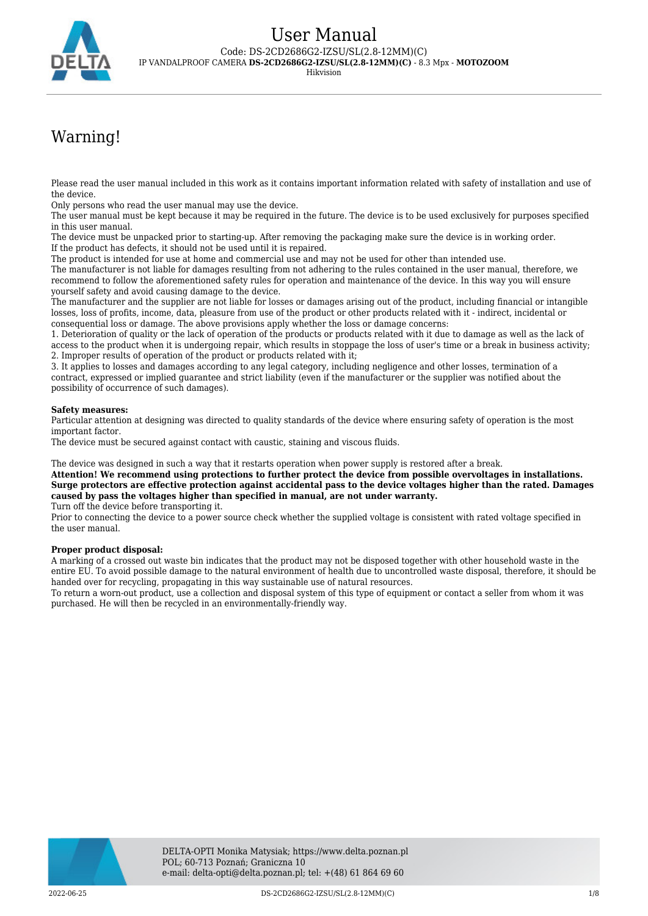

# Warning!

Please read the user manual included in this work as it contains important information related with safety of installation and use of the device.

Only persons who read the user manual may use the device.

The user manual must be kept because it may be required in the future. The device is to be used exclusively for purposes specified in this user manual.

The device must be unpacked prior to starting-up. After removing the packaging make sure the device is in working order. If the product has defects, it should not be used until it is repaired.

The product is intended for use at home and commercial use and may not be used for other than intended use.

The manufacturer is not liable for damages resulting from not adhering to the rules contained in the user manual, therefore, we recommend to follow the aforementioned safety rules for operation and maintenance of the device. In this way you will ensure yourself safety and avoid causing damage to the device.

The manufacturer and the supplier are not liable for losses or damages arising out of the product, including financial or intangible losses, loss of profits, income, data, pleasure from use of the product or other products related with it - indirect, incidental or consequential loss or damage. The above provisions apply whether the loss or damage concerns:

1. Deterioration of quality or the lack of operation of the products or products related with it due to damage as well as the lack of access to the product when it is undergoing repair, which results in stoppage the loss of user's time or a break in business activity; 2. Improper results of operation of the product or products related with it;

3. It applies to losses and damages according to any legal category, including negligence and other losses, termination of a contract, expressed or implied guarantee and strict liability (even if the manufacturer or the supplier was notified about the possibility of occurrence of such damages).

#### **Safety measures:**

Particular attention at designing was directed to quality standards of the device where ensuring safety of operation is the most important factor.

The device must be secured against contact with caustic, staining and viscous fluids.

The device was designed in such a way that it restarts operation when power supply is restored after a break.

**Attention! We recommend using protections to further protect the device from possible overvoltages in installations. Surge protectors are effective protection against accidental pass to the device voltages higher than the rated. Damages caused by pass the voltages higher than specified in manual, are not under warranty.**

Turn off the device before transporting it.

Prior to connecting the device to a power source check whether the supplied voltage is consistent with rated voltage specified in the user manual.

#### **Proper product disposal:**

A marking of a crossed out waste bin indicates that the product may not be disposed together with other household waste in the entire EU. To avoid possible damage to the natural environment of health due to uncontrolled waste disposal, therefore, it should be handed over for recycling, propagating in this way sustainable use of natural resources.

To return a worn-out product, use a collection and disposal system of this type of equipment or contact a seller from whom it was purchased. He will then be recycled in an environmentally-friendly way.

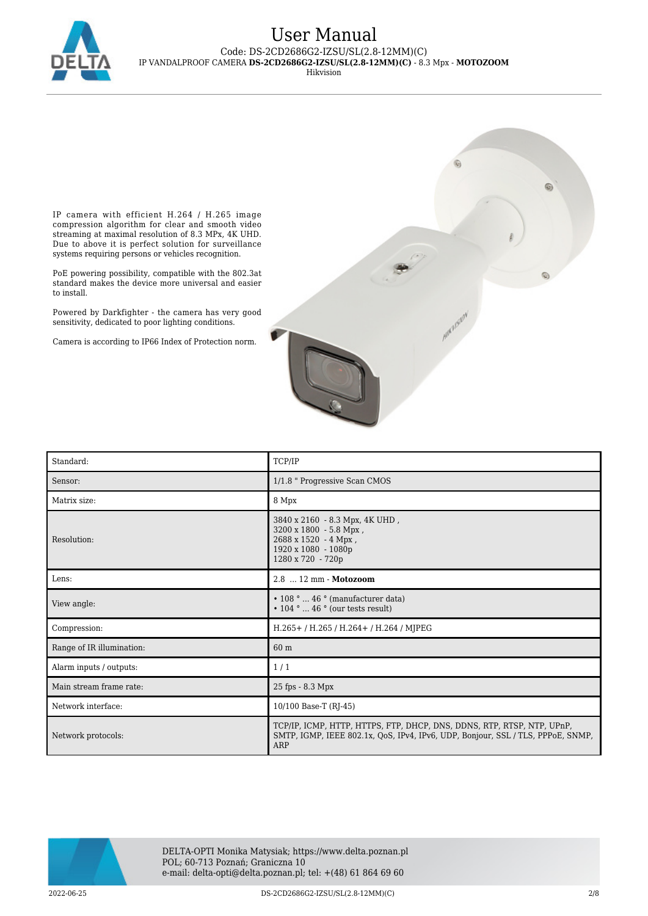

# User Manual Code: DS-2CD2686G2-IZSU/SL(2.8-12MM)(C)

IP VANDALPROOF CAMERA **DS-2CD2686G2-IZSU/SL(2.8-12MM)(C)** - 8.3 Mpx - **MOTOZOOM**

Hikvision

IP camera with efficient H.264 / H.265 image compression algorithm for clear and smooth video streaming at maximal resolution of 8.3 MPx, 4K UHD. Due to above it is perfect solution for surveillance systems requiring persons or vehicles recognition.

PoE powering possibility, compatible with the 802.3at standard makes the device more universal and easier to install.

Powered by Darkfighter - the camera has very good sensitivity, dedicated to poor lighting conditions.

Camera is according to IP66 Index of Protection norm.



| Standard:                 | TCP/IP                                                                                                                                                           |
|---------------------------|------------------------------------------------------------------------------------------------------------------------------------------------------------------|
| Sensor:                   | 1/1.8 " Progressive Scan CMOS                                                                                                                                    |
| Matrix size:              | 8 Mpx                                                                                                                                                            |
| Resolution:               | 3840 x 2160 - 8.3 Mpx, 4K UHD,<br>$3200 \times 1800 - 5.8$ Mpx,<br>2688 x 1520 - 4 Mpx,<br>1920 x 1080 - 1080p<br>1280 x 720 - 720p                              |
| Lens:                     | 2.8  12 mm - Motozoom                                                                                                                                            |
| View angle:               | $\cdot$ 108 °  46 ° (manufacturer data)<br>$\cdot$ 104 °  46 ° (our tests result)                                                                                |
| Compression:              | H.265+/H.265/H.264+/H.264/MJPEG                                                                                                                                  |
| Range of IR illumination: | 60 m                                                                                                                                                             |
| Alarm inputs / outputs:   | 1/1                                                                                                                                                              |
| Main stream frame rate:   | 25 fps - 8.3 Mpx                                                                                                                                                 |
| Network interface:        | 10/100 Base-T (RJ-45)                                                                                                                                            |
| Network protocols:        | TCP/IP, ICMP, HTTP, HTTPS, FTP, DHCP, DNS, DDNS, RTP, RTSP, NTP, UPnP,<br>SMTP, IGMP, IEEE 802.1x, QoS, IPv4, IPv6, UDP, Bonjour, SSL / TLS, PPPoE, SNMP,<br>ARP |

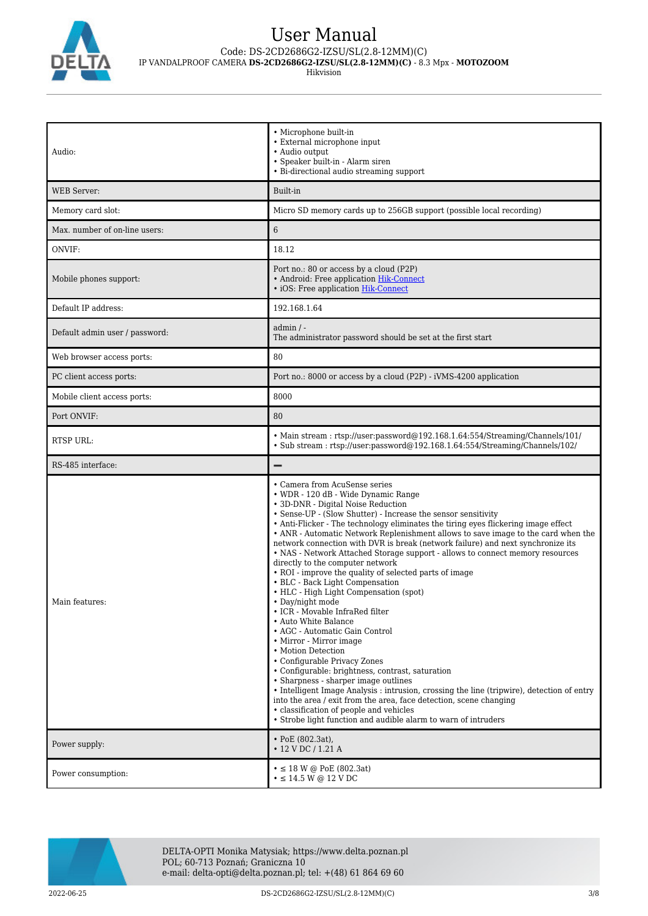

# User Manual

Code: DS-2CD2686G2-IZSU/SL(2.8-12MM)(C)

IP VANDALPROOF CAMERA **DS-2CD2686G2-IZSU/SL(2.8-12MM)(C)** - 8.3 Mpx - **MOTOZOOM**

Hikvision

| Audio:                         | • Microphone built-in<br>• External microphone input<br>• Audio output<br>• Speaker built-in - Alarm siren<br>• Bi-directional audio streaming support                                                                                                                                                                                                                                                                                                                                                                                                                                                                                                                                                                                                                                                                                                                                                                                                                                                                                                                                                                                                                                                                                                                               |
|--------------------------------|--------------------------------------------------------------------------------------------------------------------------------------------------------------------------------------------------------------------------------------------------------------------------------------------------------------------------------------------------------------------------------------------------------------------------------------------------------------------------------------------------------------------------------------------------------------------------------------------------------------------------------------------------------------------------------------------------------------------------------------------------------------------------------------------------------------------------------------------------------------------------------------------------------------------------------------------------------------------------------------------------------------------------------------------------------------------------------------------------------------------------------------------------------------------------------------------------------------------------------------------------------------------------------------|
| <b>WEB Server:</b>             | Built-in                                                                                                                                                                                                                                                                                                                                                                                                                                                                                                                                                                                                                                                                                                                                                                                                                                                                                                                                                                                                                                                                                                                                                                                                                                                                             |
| Memory card slot:              | Micro SD memory cards up to 256GB support (possible local recording)                                                                                                                                                                                                                                                                                                                                                                                                                                                                                                                                                                                                                                                                                                                                                                                                                                                                                                                                                                                                                                                                                                                                                                                                                 |
| Max, number of on-line users:  | 6                                                                                                                                                                                                                                                                                                                                                                                                                                                                                                                                                                                                                                                                                                                                                                                                                                                                                                                                                                                                                                                                                                                                                                                                                                                                                    |
| ONVIF:                         | 18.12                                                                                                                                                                                                                                                                                                                                                                                                                                                                                                                                                                                                                                                                                                                                                                                                                                                                                                                                                                                                                                                                                                                                                                                                                                                                                |
| Mobile phones support:         | Port no.: 80 or access by a cloud (P2P)<br>• Android: Free application Hik-Connect<br>• iOS: Free application Hik-Connect                                                                                                                                                                                                                                                                                                                                                                                                                                                                                                                                                                                                                                                                                                                                                                                                                                                                                                                                                                                                                                                                                                                                                            |
| Default IP address:            | 192.168.1.64                                                                                                                                                                                                                                                                                                                                                                                                                                                                                                                                                                                                                                                                                                                                                                                                                                                                                                                                                                                                                                                                                                                                                                                                                                                                         |
| Default admin user / password: | $admin / -$<br>The administrator password should be set at the first start                                                                                                                                                                                                                                                                                                                                                                                                                                                                                                                                                                                                                                                                                                                                                                                                                                                                                                                                                                                                                                                                                                                                                                                                           |
| Web browser access ports:      | 80                                                                                                                                                                                                                                                                                                                                                                                                                                                                                                                                                                                                                                                                                                                                                                                                                                                                                                                                                                                                                                                                                                                                                                                                                                                                                   |
| PC client access ports:        | Port no.: 8000 or access by a cloud (P2P) - iVMS-4200 application                                                                                                                                                                                                                                                                                                                                                                                                                                                                                                                                                                                                                                                                                                                                                                                                                                                                                                                                                                                                                                                                                                                                                                                                                    |
| Mobile client access ports:    | 8000                                                                                                                                                                                                                                                                                                                                                                                                                                                                                                                                                                                                                                                                                                                                                                                                                                                                                                                                                                                                                                                                                                                                                                                                                                                                                 |
| Port ONVIF:                    | 80                                                                                                                                                                                                                                                                                                                                                                                                                                                                                                                                                                                                                                                                                                                                                                                                                                                                                                                                                                                                                                                                                                                                                                                                                                                                                   |
| RTSP URL:                      | • Main stream : rtsp://user:password@192.168.1.64:554/Streaming/Channels/101/<br>• Sub stream: rtsp://user.password@192.168.1.64.554/Streaming/Channels/102/                                                                                                                                                                                                                                                                                                                                                                                                                                                                                                                                                                                                                                                                                                                                                                                                                                                                                                                                                                                                                                                                                                                         |
|                                |                                                                                                                                                                                                                                                                                                                                                                                                                                                                                                                                                                                                                                                                                                                                                                                                                                                                                                                                                                                                                                                                                                                                                                                                                                                                                      |
| RS-485 interface:              |                                                                                                                                                                                                                                                                                                                                                                                                                                                                                                                                                                                                                                                                                                                                                                                                                                                                                                                                                                                                                                                                                                                                                                                                                                                                                      |
| Main features:                 | • Camera from AcuSense series<br>• WDR - 120 dB - Wide Dynamic Range<br>• 3D-DNR - Digital Noise Reduction<br>• Sense-UP - (Slow Shutter) - Increase the sensor sensitivity<br>• Anti-Flicker - The technology eliminates the tiring eyes flickering image effect<br>• ANR - Automatic Network Replenishment allows to save image to the card when the<br>network connection with DVR is break (network failure) and next synchronize its<br>• NAS - Network Attached Storage support - allows to connect memory resources<br>directly to the computer network<br>• ROI - improve the quality of selected parts of image<br>• BLC - Back Light Compensation<br>• HLC - High Light Compensation (spot)<br>• Day/night mode<br>• ICR - Movable InfraRed filter<br>• Auto White Balance<br>• AGC - Automatic Gain Control<br>• Mirror - Mirror image<br>• Motion Detection<br>• Configurable Privacy Zones<br>• Configurable: brightness, contrast, saturation<br>• Sharpness - sharper image outlines<br>• Intelligent Image Analysis : intrusion, crossing the line (tripwire), detection of entry<br>into the area / exit from the area, face detection, scene changing<br>• classification of people and vehicles<br>• Strobe light function and audible alarm to warn of intruders |
| Power supply:                  | • PoE $(802.3at)$ ,<br>$\cdot$ 12 V DC / 1.21 A                                                                                                                                                                                                                                                                                                                                                                                                                                                                                                                                                                                                                                                                                                                                                                                                                                                                                                                                                                                                                                                                                                                                                                                                                                      |



DELTA-OPTI Monika Matysiak; https://www.delta.poznan.pl POL; 60-713 Poznań; Graniczna 10 e-mail: delta-opti@delta.poznan.pl; tel: +(48) 61 864 69 60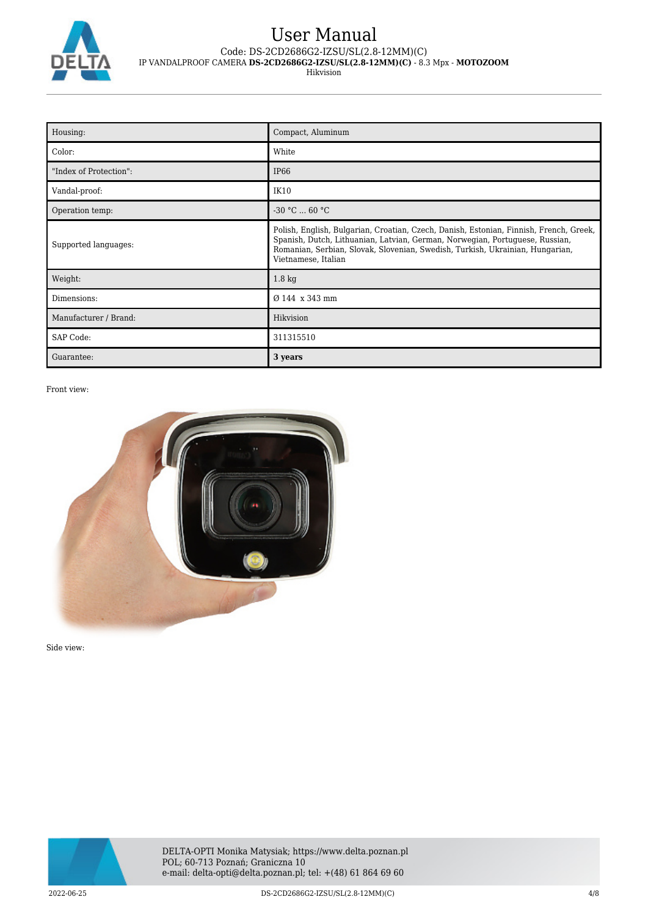

Hikvision

| Housing:               | Compact, Aluminum                                                                                                                                                                                                                                                              |
|------------------------|--------------------------------------------------------------------------------------------------------------------------------------------------------------------------------------------------------------------------------------------------------------------------------|
| Color:                 | White                                                                                                                                                                                                                                                                          |
| "Index of Protection": | IP <sub>66</sub>                                                                                                                                                                                                                                                               |
| Vandal-proof:          | IK10                                                                                                                                                                                                                                                                           |
| Operation temp:        | $-30 °C  60 °C$                                                                                                                                                                                                                                                                |
| Supported languages:   | Polish, English, Bulgarian, Croatian, Czech, Danish, Estonian, Finnish, French, Greek,<br>Spanish, Dutch, Lithuanian, Latvian, German, Norwegian, Portuguese, Russian,<br>Romanian, Serbian, Slovak, Slovenian, Swedish, Turkish, Ukrainian, Hungarian,<br>Vietnamese, Italian |
| Weight:                | 1.8 <sub>kg</sub>                                                                                                                                                                                                                                                              |
| Dimensions:            | Ø 144 x 343 mm                                                                                                                                                                                                                                                                 |
| Manufacturer / Brand:  | Hikvision                                                                                                                                                                                                                                                                      |
| SAP Code:              | 311315510                                                                                                                                                                                                                                                                      |
| Guarantee:             | 3 years                                                                                                                                                                                                                                                                        |

Front view:



Side view:

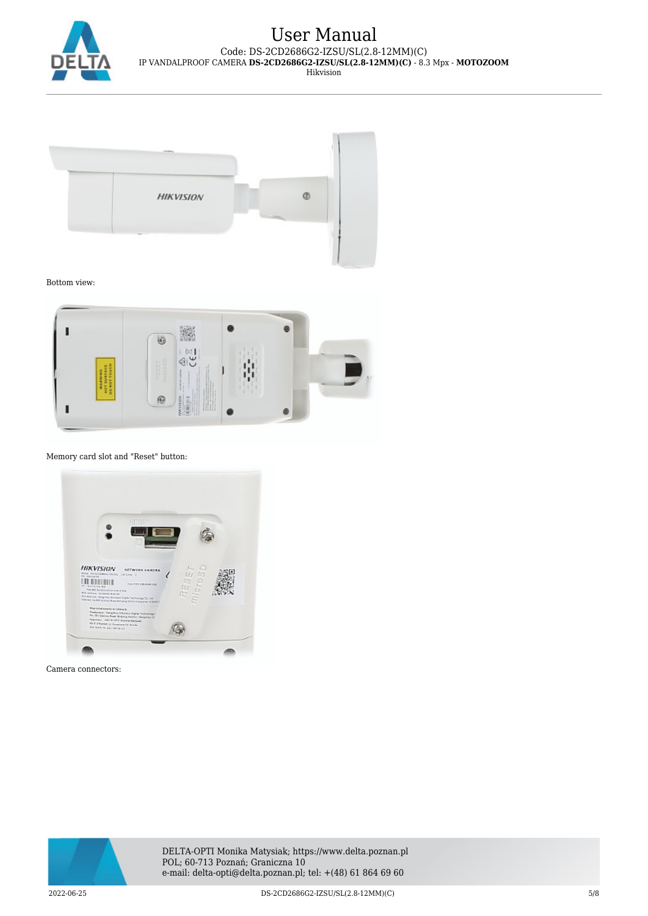

Hikvision



Bottom view:



Memory card slot and "Reset" button:



Camera connectors:



DELTA-OPTI Monika Matysiak; https://www.delta.poznan.pl POL; 60-713 Poznań; Graniczna 10 e-mail: delta-opti@delta.poznan.pl; tel: +(48) 61 864 69 60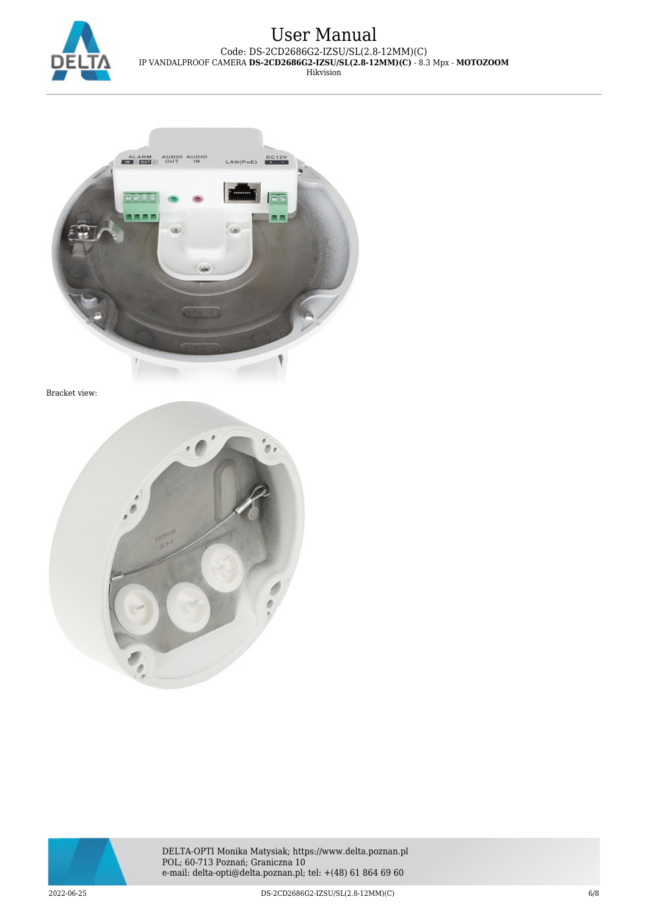



Bracket view:





DELTA-OPTI Monika Matysiak; https://www.delta.poznan.pl POL; 60-713 Poznań; Graniczna 10 e-mail: delta-opti@delta.poznan.pl; tel: +(48) 61 864 69 60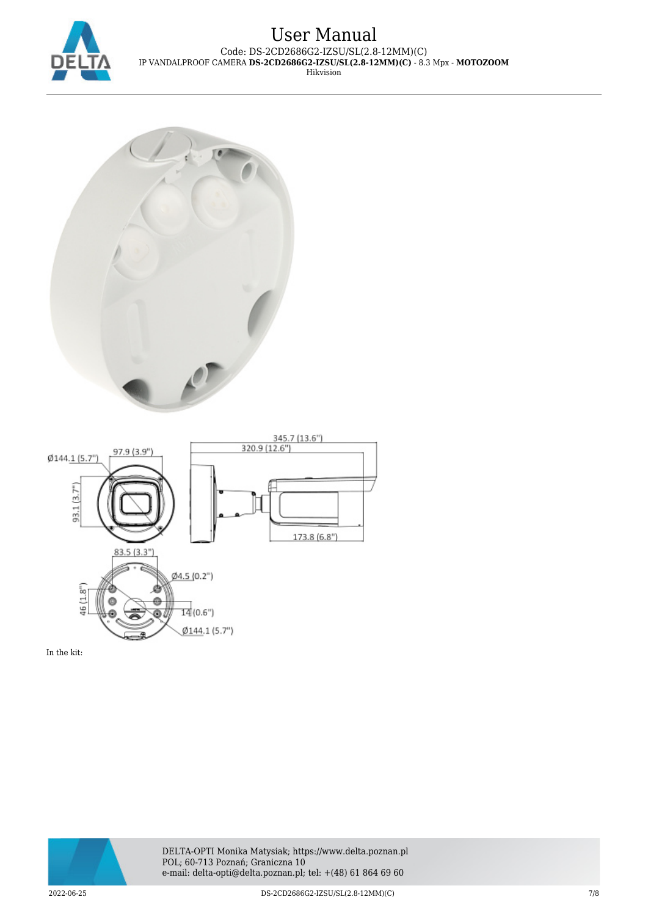





In the kit: